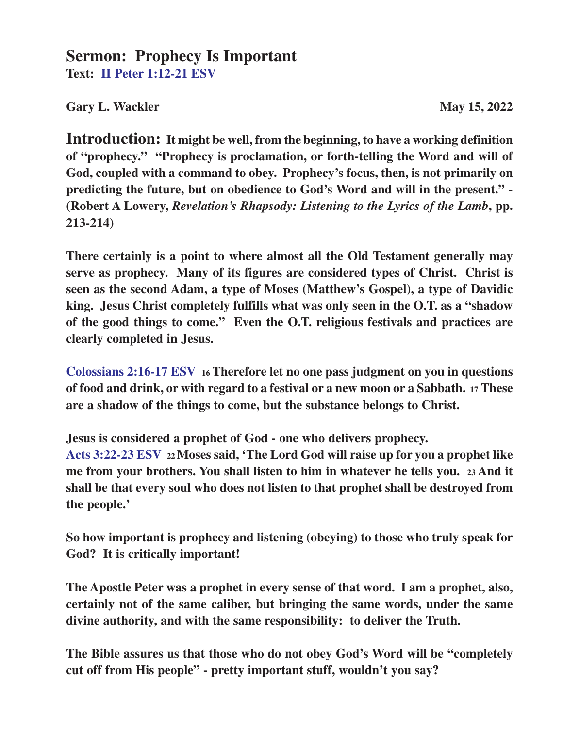## **Sermon: Prophecy Is Important Text: II Peter 1:12-21 ESV**

**Gary L. Wackler May 15, 2022** 

**Introduction: It might be well, from the beginning, to have a working definition of "prophecy." "Prophecy is proclamation, or forth-telling the Word and will of God, coupled with a command to obey. Prophecy's focus, then, is not primarily on predicting the future, but on obedience to God's Word and will in the present." - (Robert A Lowery,** *Revelation's Rhapsody: Listening to the Lyrics of the Lamb***, pp. 213-214)**

**There certainly is a point to where almost all the Old Testament generally may serve as prophecy. Many of its figures are considered types of Christ. Christ is seen as the second Adam, a type of Moses (Matthew's Gospel), a type of Davidic king. Jesus Christ completely fulfills what was only seen in the O.T. as a "shadow of the good things to come." Even the O.T. religious festivals and practices are clearly completed in Jesus.**

**Colossians 2:16-17 ESV 16 Therefore let no one pass judgment on you in questions of food and drink, or with regard to a festival or a new moon or a Sabbath. <sup>17</sup> These are a shadow of the things to come, but the substance belongs to Christ.**

**Jesus is considered a prophet of God - one who delivers prophecy.**

**Acts 3:22-23 ESV 22 Moses said, 'The Lord God will raise up for you a prophet like me from your brothers. You shall listen to him in whatever he tells you. 23 And it shall be that every soul who does not listen to that prophet shall be destroyed from the people.'**

**So how important is prophecy and listening (obeying) to those who truly speak for God? It is critically important!**

**The Apostle Peter was a prophet in every sense of that word. I am a prophet, also, certainly not of the same caliber, but bringing the same words, under the same divine authority, and with the same responsibility: to deliver the Truth.**

**The Bible assures us that those who do not obey God's Word will be "completely cut off from His people" - pretty important stuff, wouldn't you say?**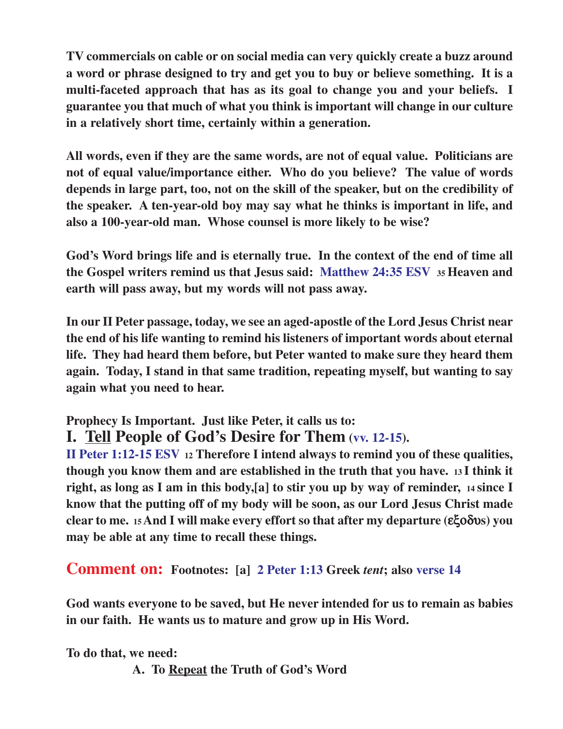**TV commercials on cable or on social media can very quickly create a buzz around a word or phrase designed to try and get you to buy or believe something. It is a multi-faceted approach that has as its goal to change you and your beliefs. I guarantee you that much of what you think is important will change in our culture in a relatively short time, certainly within a generation.**

**All words, even if they are the same words, are not of equal value. Politicians are not of equal value/importance either. Who do you believe? The value of words depends in large part, too, not on the skill of the speaker, but on the credibility of the speaker. A ten-year-old boy may say what he thinks is important in life, and also a 100-year-old man. Whose counsel is more likely to be wise?**

**God's Word brings life and is eternally true. In the context of the end of time all the Gospel writers remind us that Jesus said: Matthew 24:35 ESV <sup>35</sup>Heaven and earth will pass away, but my words will not pass away.**

**In our II Peter passage, today, we see an aged-apostle of the Lord Jesus Christ near the end of his life wanting to remind his listeners of important words about eternal life. They had heard them before, but Peter wanted to make sure they heard them again. Today, I stand in that same tradition, repeating myself, but wanting to say again what you need to hear.**

**Prophecy Is Important. Just like Peter, it calls us to:**

### **I. Tell People of God's Desire for Them (vv. 12-15).**

**II Peter 1:12-15 ESV<sup>12</sup> Therefore I intend always to remind you of these qualities, though you know them and are established in the truth that you have. 13 I think it right, as long as I am in this body,[a] to stir you up by way of reminder, 14 since I know that the putting off of my body will be soon, as our Lord Jesus Christ made clear to me. 15 And I will make every effort so that after my departure (**εξοδυ**s) you may be able at any time to recall these things.**

#### **Comment on: Footnotes:** [a] 2 Peter 1:13 Greek *tent*; also verse 14

**God wants everyone to be saved, but He never intended for us to remain as babies in our faith. He wants us to mature and grow up in His Word.**

**To do that, we need:**

**A. To Repeat the Truth of God's Word**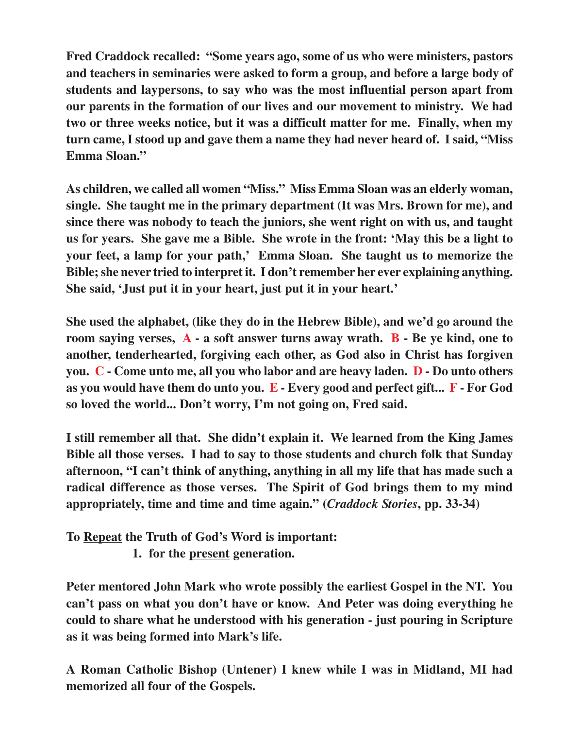**Fred Craddock recalled: "Some years ago, some of us who were ministers, pastors and teachers in seminaries were asked to form a group, and before a large body of students and laypersons, to say who was the most influential person apart from our parents in the formation of our lives and our movement to ministry. We had two or three weeks notice, but it was a difficult matter for me. Finally, when my turn came, I stood up and gave them a name they had never heard of. I said, "Miss Emma Sloan."**

**As children, we called all women "Miss." Miss Emma Sloan was an elderly woman, single. She taught me in the primary department (It was Mrs. Brown for me), and since there was nobody to teach the juniors, she went right on with us, and taught us for years. She gave me a Bible. She wrote in the front: 'May this be a light to your feet, a lamp for your path,' Emma Sloan. She taught us to memorize the Bible; she never tried to interpret it. I don't remember her ever explaining anything. She said, 'Just put it in your heart, just put it in your heart.'**

**She used the alphabet, (like they do in the Hebrew Bible), and we'd go around the room saying verses, A - a soft answer turns away wrath. B - Be ye kind, one to another, tenderhearted, forgiving each other, as God also in Christ has forgiven you. C - Come unto me, all you who labor and are heavy laden. D - Do unto others as you would have them do unto you. E - Every good and perfect gift... F - For God so loved the world... Don't worry, I'm not going on, Fred said.**

**I still remember all that. She didn't explain it. We learned from the King James Bible all those verses. I had to say to those students and church folk that Sunday afternoon, "I can't think of anything, anything in all my life that has made such a radical difference as those verses. The Spirit of God brings them to my mind appropriately, time and time and time again." (***Craddock Stories***, pp. 33-34)**

**To Repeat the Truth of God's Word is important:**

**1. for the present generation.**

**Peter mentored John Mark who wrote possibly the earliest Gospel in the NT. You can't pass on what you don't have or know. And Peter was doing everything he could to share what he understood with his generation - just pouring in Scripture as it was being formed into Mark's life.**

**A Roman Catholic Bishop (Untener) I knew while I was in Midland, MI had memorized all four of the Gospels.**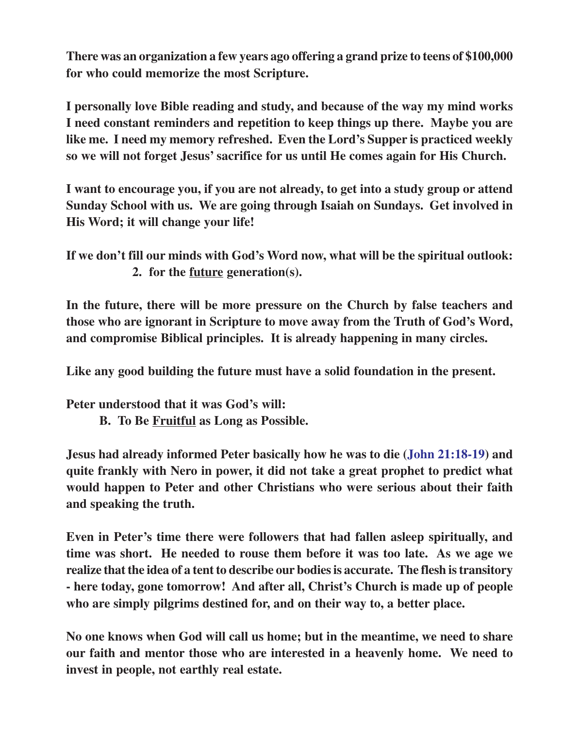**There was an organization a few years ago offering a grand prize to teens of \$100,000 for who could memorize the most Scripture.**

**I personally love Bible reading and study, and because of the way my mind works I need constant reminders and repetition to keep things up there. Maybe you are like me. I need my memory refreshed. Even the Lord's Supper is practiced weekly so we will not forget Jesus' sacrifice for us until He comes again for His Church.**

**I want to encourage you, if you are not already, to get into a study group or attend Sunday School with us. We are going through Isaiah on Sundays. Get involved in His Word; it will change your life!**

**If we don't fill our minds with God's Word now, what will be the spiritual outlook: 2. for the future generation(s).**

**In the future, there will be more pressure on the Church by false teachers and those who are ignorant in Scripture to move away from the Truth of God's Word, and compromise Biblical principles. It is already happening in many circles.**

**Like any good building the future must have a solid foundation in the present.**

**Peter understood that it was God's will:**

**B. To Be Fruitful as Long as Possible.**

**Jesus had already informed Peter basically how he was to die (John 21:18-19) and quite frankly with Nero in power, it did not take a great prophet to predict what would happen to Peter and other Christians who were serious about their faith and speaking the truth.**

**Even in Peter's time there were followers that had fallen asleep spiritually, and time was short. He needed to rouse them before it was too late. As we age we realize that the idea of a tent to describe our bodies is accurate. The flesh is transitory - here today, gone tomorrow! And after all, Christ's Church is made up of people who are simply pilgrims destined for, and on their way to, a better place.**

**No one knows when God will call us home; but in the meantime, we need to share our faith and mentor those who are interested in a heavenly home. We need to invest in people, not earthly real estate.**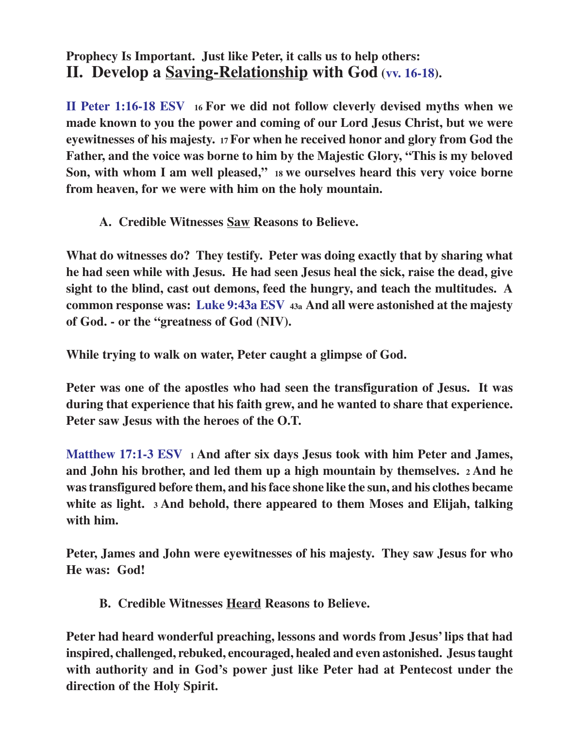## **Prophecy Is Important. Just like Peter, it calls us to help others: II. Develop a Saving-Relationship with God (vv. 16-18).**

**II Peter 1:16-18 ESV 16 For we did not follow cleverly devised myths when we made known to you the power and coming of our Lord Jesus Christ, but we were eyewitnesses of his majesty. 17 For when he received honor and glory from God the Father, and the voice was borne to him by the Majestic Glory, "This is my beloved Son, with whom I am well pleased," 18 we ourselves heard this very voice borne from heaven, for we were with him on the holy mountain.**

**A. Credible Witnesses Saw Reasons to Believe.**

**What do witnesses do? They testify. Peter was doing exactly that by sharing what he had seen while with Jesus. He had seen Jesus heal the sick, raise the dead, give sight to the blind, cast out demons, feed the hungry, and teach the multitudes. A common response was: Luke 9:43a ESV 43a And all were astonished at the majesty of God. - or the "greatness of God (NIV).**

**While trying to walk on water, Peter caught a glimpse of God.**

**Peter was one of the apostles who had seen the transfiguration of Jesus. It was during that experience that his faith grew, and he wanted to share that experience. Peter saw Jesus with the heroes of the O.T.**

**Matthew 17:1-3 ESV 1 And after six days Jesus took with him Peter and James, and John his brother, and led them up a high mountain by themselves. 2 And he was transfigured before them, and his face shone like the sun, and his clothes became white as light. 3 And behold, there appeared to them Moses and Elijah, talking with him.**

**Peter, James and John were eyewitnesses of his majesty. They saw Jesus for who He was: God!**

**B. Credible Witnesses Heard Reasons to Believe.**

**Peter had heard wonderful preaching, lessons and words from Jesus' lips that had inspired, challenged, rebuked, encouraged, healed and even astonished. Jesus taught with authority and in God's power just like Peter had at Pentecost under the direction of the Holy Spirit.**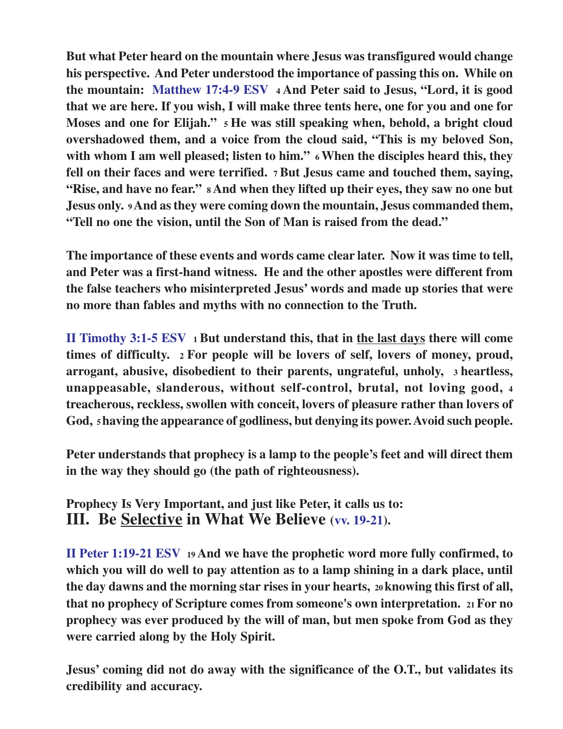**But what Peter heard on the mountain where Jesus was transfigured would change his perspective. And Peter understood the importance of passing this on. While on the mountain: Matthew 17:4-9 ESV 4 And Peter said to Jesus, "Lord, it is good that we are here. If you wish, I will make three tents here, one for you and one for Moses and one for Elijah." 5 He was still speaking when, behold, a bright cloud overshadowed them, and a voice from the cloud said, "This is my beloved Son, with whom I am well pleased; listen to him." 6 When the disciples heard this, they fell on their faces and were terrified. 7 But Jesus came and touched them, saying, "Rise, and have no fear." 8 And when they lifted up their eyes, they saw no one but Jesus only. 9 And as they were coming down the mountain, Jesus commanded them, "Tell no one the vision, until the Son of Man is raised from the dead."**

**The importance of these events and words came clear later. Now it was time to tell, and Peter was a first-hand witness. He and the other apostles were different from the false teachers who misinterpreted Jesus' words and made up stories that were no more than fables and myths with no connection to the Truth.**

**II Timothy 3:1-5 ESV <sup>1</sup>But understand this, that in the last days there will come times of difficulty. 2 For people will be lovers of self, lovers of money, proud, arrogant, abusive, disobedient to their parents, ungrateful, unholy, 3 heartless, unappeasable, slanderous, without self-control, brutal, not loving good, <sup>4</sup> treacherous, reckless, swollen with conceit, lovers of pleasure rather than lovers of God, 5 having the appearance of godliness, but denying its power. Avoid such people.**

**Peter understands that prophecy is a lamp to the people's feet and will direct them in the way they should go (the path of righteousness).**

**Prophecy Is Very Important, and just like Peter, it calls us to: III. Be Selective in What We Believe (vv. 19-21).** 

**II Peter 1:19-21 ESV <sup>19</sup>And we have the prophetic word more fully confirmed, to which you will do well to pay attention as to a lamp shining in a dark place, until the day dawns and the morning star rises in your hearts, 20 knowing this first of all, that no prophecy of Scripture comes from someone's own interpretation. 21 For no prophecy was ever produced by the will of man, but men spoke from God as they were carried along by the Holy Spirit.**

**Jesus' coming did not do away with the significance of the O.T., but validates its credibility and accuracy.**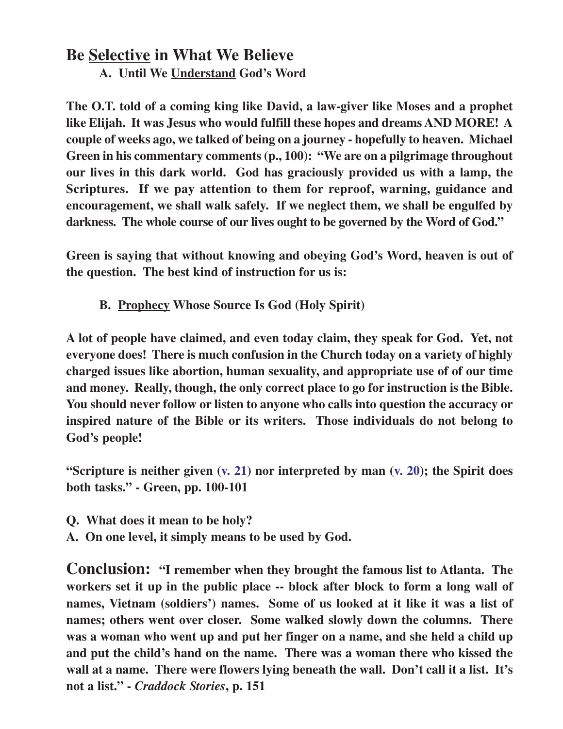# **Be Selective in What We Believe**

**A. Until We Understand God's Word**

**The O.T. told of a coming king like David, a law-giver like Moses and a prophet like Elijah. It was Jesus who would fulfill these hopes and dreams AND MORE! A couple of weeks ago, we talked of being on a journey - hopefully to heaven. Michael Green in his commentary comments (p., 100): "We are on a pilgrimage throughout our lives in this dark world. God has graciously provided us with a lamp, the Scriptures. If we pay attention to them for reproof, warning, guidance and encouragement, we shall walk safely. If we neglect them, we shall be engulfed by darkness. The whole course of our lives ought to be governed by the Word of God."**

**Green is saying that without knowing and obeying God's Word, heaven is out of the question. The best kind of instruction for us is:**

**B. Prophecy Whose Source Is God (Holy Spirit)**

**A lot of people have claimed, and even today claim, they speak for God. Yet, not everyone does! There is much confusion in the Church today on a variety of highly charged issues like abortion, human sexuality, and appropriate use of of our time and money. Really, though, the only correct place to go for instruction is the Bible. You should never follow or listen to anyone who calls into question the accuracy or inspired nature of the Bible or its writers. Those individuals do not belong to God's people!**

**"Scripture is neither given (v. 21) nor interpreted by man (v. 20); the Spirit does both tasks." - Green, pp. 100-101**

- **Q. What does it mean to be holy?**
- **A. On one level, it simply means to be used by God.**

**Conclusion: "I remember when they brought the famous list to Atlanta. The workers set it up in the public place -- block after block to form a long wall of names, Vietnam (soldiers') names. Some of us looked at it like it was a list of names; others went over closer. Some walked slowly down the columns. There was a woman who went up and put her finger on a name, and she held a child up and put the child's hand on the name. There was a woman there who kissed the wall at a name. There were flowers lying beneath the wall. Don't call it a list. It's not a list." -** *Craddock Stories***, p. 151**